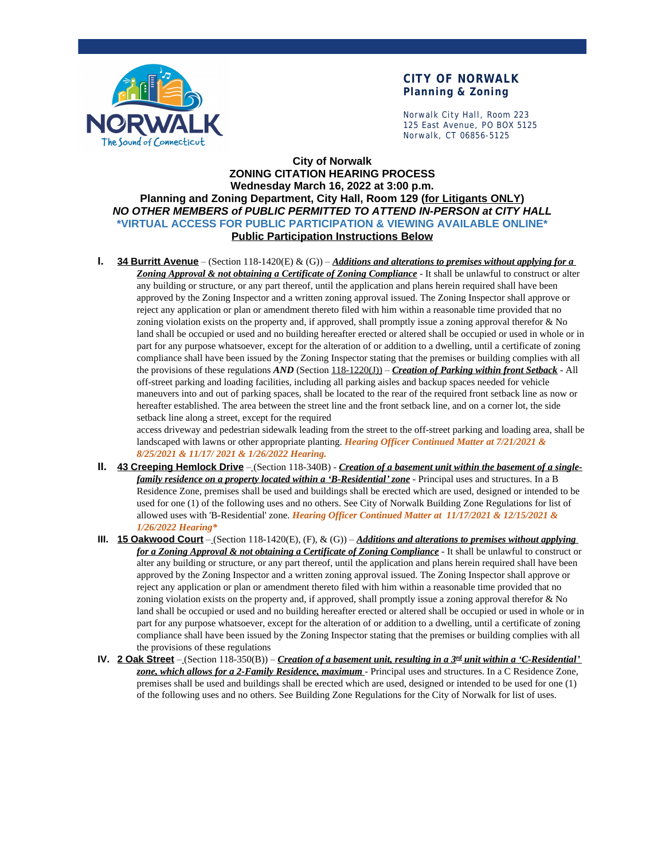

## **CITY OF NORWALK Planning & Zoning**

Norwalk City Hall, Room 223 125 East Avenue, PO BOX 5125 Norwalk, CT 06856-5125

## **City of Norwalk ZONING CITATION HEARING PROCESS Wednesday March 16, 2022 at 3:00 p.m. Planning and Zoning Department, City Hall, Room 129 (for Litigants ONLY)** *NO OTHER MEMBERS of PUBLIC PERMITTED TO ATTEND IN-PERSON at CITY HALL* **\*VIRTUAL ACCESS FOR PUBLIC PARTICIPATION & VIEWING AVAILABLE ONLINE\* Public Participation Instructions Below**

**I. 34 Burritt Avenue** – (Section 118-1420(E) & (G)) – *Additions and alterations to premises without applying for a*  **Zoning Approval & not obtaining a Certificate of Zoning Compliance** - It shall be unlawful to construct or alter any building or structure, or any part thereof, until the application and plans herein required shall have been approved by the Zoning Inspector and a written zoning approval issued. The Zoning Inspector shall approve or reject any application or plan or amendment thereto filed with him within a reasonable time provided that no zoning violation exists on the property and, if approved, shall promptly issue a zoning approval therefor & No land shall be occupied or used and no building hereafter erected or altered shall be occupied or used in whole or in part for any purpose whatsoever, except for the alteration of or addition to a dwelling, until a certificate of zoning compliance shall have been issued by the Zoning Inspector stating that the premises or building complies with all the provisions of these regulations *AND* (Section 118-1220(J)) – *Creation of Parking within front Setback* - All off-street parking and loading facilities, including all parking aisles and backup spaces needed for vehicle maneuvers into and out of parking spaces, shall be located to the rear of the required front setback line as now or hereafter established. The area between the street line and the front setback line, and on a corner lot, the side setback line along a street, except for the required

access driveway and pedestrian sidewalk leading from the street to the off-street parking and loading area, shall be landscaped with lawns or other appropriate planting. *Hearing Officer Continued Matter at 7/21/2021 & 8/25/2021 & 11/17/ 2021 & 1/26/2022 Hearing.*

- **II. 43 Creeping Hemlock Drive** (Section 118-340B) *Creation of a basement unit within the basement of a singlefamily residence on a property located within a 'B-Residential' zone* - Principal uses and structures. In a B Residence Zone, premises shall be used and buildings shall be erected which are used, designed or intended to be used for one (1) of the following uses and no others. See City of Norwalk Building Zone Regulations for list of allowed uses with 'B-Residential' zone. *Hearing Officer Continued Matter at 11/17/2021 & 12/15/2021 & 1/26/2022 Hearing\**
- **III. 15 Oakwood Court** (Section 118-1420(E), (F), & (G)) *Additions and alterations to premises without applying for a Zoning Approval & not obtaining a Certificate of Zoning Compliance* - It shall be unlawful to construct or alter any building or structure, or any part thereof, until the application and plans herein required shall have been approved by the Zoning Inspector and a written zoning approval issued. The Zoning Inspector shall approve or reject any application or plan or amendment thereto filed with him within a reasonable time provided that no zoning violation exists on the property and, if approved, shall promptly issue a zoning approval therefor & No land shall be occupied or used and no building hereafter erected or altered shall be occupied or used in whole or in part for any purpose whatsoever, except for the alteration of or addition to a dwelling, until a certificate of zoning compliance shall have been issued by the Zoning Inspector stating that the premises or building complies with all the provisions of these regulations
- **IV. 2 Oak Street** (Section 118-350(B)) *Creation of a basement unit, resulting in a 3<sup>rd</sup> unit within a '<i>C-Residential*' *zone, which allows for a 2-Family Residence, maximum* - Principal uses and structures. In a C Residence Zone, premises shall be used and buildings shall be erected which are used, designed or intended to be used for one (1) of the following uses and no others. See Building Zone Regulations for the City of Norwalk for list of uses.